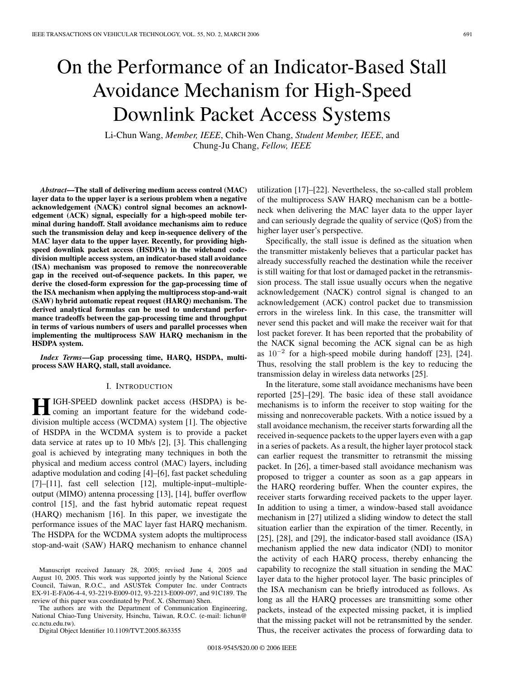# On the Performance of an Indicator-Based Stall Avoidance Mechanism for High-Speed Downlink Packet Access Systems

Li-Chun Wang, *Member, IEEE*, Chih-Wen Chang, *Student Member, IEEE*, and Chung-Ju Chang, *Fellow, IEEE*

*Abstract***—The stall of delivering medium access control (MAC) layer data to the upper layer is a serious problem when a negative acknowledgement (NACK) control signal becomes an acknowledgement (ACK) signal, especially for a high-speed mobile terminal during handoff. Stall avoidance mechanisms aim to reduce such the transmission delay and keep in-sequence delivery of the MAC layer data to the upper layer. Recently, for providing highspeed downlink packet access (HSDPA) in the wideband codedivision multiple access system, an indicator-based stall avoidance (ISA) mechanism was proposed to remove the nonrecoverable gap in the received out-of-sequence packets. In this paper, we derive the closed-form expression for the gap-processing time of the ISA mechanism when applying the multiprocess stop-and-wait (SAW) hybrid automatic repeat request (HARQ) mechanism. The derived analytical formulas can be used to understand performance tradeoffs between the gap-processing time and throughput in terms of various numbers of users and parallel processes when implementing the multiprocess SAW HARQ mechanism in the HSDPA system.**

*Index Terms***—Gap processing time, HARQ, HSDPA, multiprocess SAW HARQ, stall, stall avoidance.**

#### I. INTRODUCTION

**HIGH-SPEED** downlink packet access (HSDPA) is becoming an important feature for the wideband codedivision multiple access (WCDMA) system [1]. The objective of HSDPA in the WCDMA system is to provide a packet data service at rates up to 10 Mb/s [2], [3]. This challenging goal is achieved by integrating many techniques in both the physical and medium access control (MAC) layers, including adaptive modulation and coding [4]–[6], fast packet scheduling [7]–[11], fast cell selection [12], multiple-input–multipleoutput (MIMO) antenna processing [13], [14], buffer overflow control [15], and the fast hybrid automatic repeat request (HARQ) mechanism [16]. In this paper, we investigate the performance issues of the MAC layer fast HARQ mechanism. The HSDPA for the WCDMA system adopts the multiprocess stop-and-wait (SAW) HARQ mechanism to enhance channel

The authors are with the Department of Communication Engineering, National Chiao-Tung University, Hsinchu, Taiwan, R.O.C. (e-mail: lichun@ cc.nctu.edu.tw).

Digital Object Identifier 10.1109/TVT.2005.863355

utilization [17]–[22]. Nevertheless, the so-called stall problem of the multiprocess SAW HARQ mechanism can be a bottleneck when delivering the MAC layer data to the upper layer and can seriously degrade the quality of service (QoS) from the higher layer user's perspective.

Specifically, the stall issue is defined as the situation when the transmitter mistakenly believes that a particular packet has already successfully reached the destination while the receiver is still waiting for that lost or damaged packet in the retransmission process. The stall issue usually occurs when the negative acknowledgement (NACK) control signal is changed to an acknowledgement (ACK) control packet due to transmission errors in the wireless link. In this case, the transmitter will never send this packet and will make the receiver wait for that lost packet forever. It has been reported that the probability of the NACK signal becoming the ACK signal can be as high as  $10^{-2}$  for a high-speed mobile during handoff [23], [24]. Thus, resolving the stall problem is the key to reducing the transmission delay in wireless data networks [25].

In the literature, some stall avoidance mechanisms have been reported [25]–[29]. The basic idea of these stall avoidance mechanisms is to inform the receiver to stop waiting for the missing and nonrecoverable packets. With a notice issued by a stall avoidance mechanism, the receiver starts forwarding all the received in-sequence packets to the upper layers even with a gap in a series of packets. As a result, the higher layer protocol stack can earlier request the transmitter to retransmit the missing packet. In [26], a timer-based stall avoidance mechanism was proposed to trigger a counter as soon as a gap appears in the HARQ reordering buffer. When the counter expires, the receiver starts forwarding received packets to the upper layer. In addition to using a timer, a window-based stall avoidance mechanism in [27] utilized a sliding window to detect the stall situation earlier than the expiration of the timer. Recently, in [25], [28], and [29], the indicator-based stall avoidance (ISA) mechanism applied the new data indicator (NDI) to monitor the activity of each HARQ process, thereby enhancing the capability to recognize the stall situation in sending the MAC layer data to the higher protocol layer. The basic principles of the ISA mechanism can be briefly introduced as follows. As long as all the HARQ processes are transmitting some other packets, instead of the expected missing packet, it is implied that the missing packet will not be retransmitted by the sender. Thus, the receiver activates the process of forwarding data to

Manuscript received January 28, 2005; revised June 4, 2005 and August 10, 2005. This work was supported jointly by the National Science Council, Taiwan, R.O.C., and ASUSTek Computer Inc. under Contracts EX-91-E-FA06-4-4, 93-2219-E009-012, 93-2213-E009-097, and 91C189. The review of this paper was coordinated by Prof. X. (Sherman) Shen.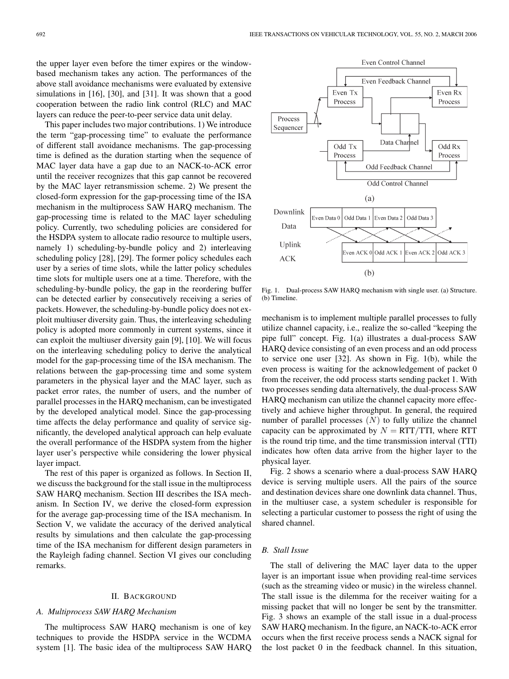the upper layer even before the timer expires or the windowbased mechanism takes any action. The performances of the above stall avoidance mechanisms were evaluated by extensive simulations in [16], [30], and [31]. It was shown that a good cooperation between the radio link control (RLC) and MAC layers can reduce the peer-to-peer service data unit delay.

This paper includes two major contributions. 1) We introduce the term "gap-processing time" to evaluate the performance of different stall avoidance mechanisms. The gap-processing time is defined as the duration starting when the sequence of MAC layer data have a gap due to an NACK-to-ACK error until the receiver recognizes that this gap cannot be recovered by the MAC layer retransmission scheme. 2) We present the closed-form expression for the gap-processing time of the ISA mechanism in the multiprocess SAW HARQ mechanism. The gap-processing time is related to the MAC layer scheduling policy. Currently, two scheduling policies are considered for the HSDPA system to allocate radio resource to multiple users, namely 1) scheduling-by-bundle policy and 2) interleaving scheduling policy [28], [29]. The former policy schedules each user by a series of time slots, while the latter policy schedules time slots for multiple users one at a time. Therefore, with the scheduling-by-bundle policy, the gap in the reordering buffer can be detected earlier by consecutively receiving a series of packets. However, the scheduling-by-bundle policy does not exploit multiuser diversity gain. Thus, the interleaving scheduling policy is adopted more commonly in current systems, since it can exploit the multiuser diversity gain [9], [10]. We will focus on the interleaving scheduling policy to derive the analytical model for the gap-processing time of the ISA mechanism. The relations between the gap-processing time and some system parameters in the physical layer and the MAC layer, such as packet error rates, the number of users, and the number of parallel processes in the HARQ mechanism, can be investigated by the developed analytical model. Since the gap-processing time affects the delay performance and quality of service significantly, the developed analytical approach can help evaluate the overall performance of the HSDPA system from the higher layer user's perspective while considering the lower physical layer impact.

The rest of this paper is organized as follows. In Section II, we discuss the background for the stall issue in the multiprocess SAW HARQ mechanism. Section III describes the ISA mechanism. In Section IV, we derive the closed-form expression for the average gap-processing time of the ISA mechanism. In Section V, we validate the accuracy of the derived analytical results by simulations and then calculate the gap-processing time of the ISA mechanism for different design parameters in the Rayleigh fading channel. Section VI gives our concluding remarks.

#### II. BACKGROUND

## *A. Multiprocess SAW HARQ Mechanism*

The multiprocess SAW HARQ mechanism is one of key techniques to provide the HSDPA service in the WCDMA system [1]. The basic idea of the multiprocess SAW HARQ



Fig. 1. Dual-process SAW HARQ mechanism with single user. (a) Structure. (b) Timeline.

mechanism is to implement multiple parallel processes to fully utilize channel capacity, i.e., realize the so-called "keeping the pipe full" concept. Fig. 1(a) illustrates a dual-process SAW HARQ device consisting of an even process and an odd process to service one user [32]. As shown in Fig. 1(b), while the even process is waiting for the acknowledgement of packet 0 from the receiver, the odd process starts sending packet 1. With two processes sending data alternatively, the dual-process SAW HARQ mechanism can utilize the channel capacity more effectively and achieve higher throughput. In general, the required number of parallel processes  $(N)$  to fully utilize the channel capacity can be approximated by  $N = RTT/TTI$ , where RTT is the round trip time, and the time transmission interval (TTI) indicates how often data arrive from the higher layer to the physical layer.

Fig. 2 shows a scenario where a dual-process SAW HARQ device is serving multiple users. All the pairs of the source and destination devices share one downlink data channel. Thus, in the multiuser case, a system scheduler is responsible for selecting a particular customer to possess the right of using the shared channel.

## *B. Stall Issue*

The stall of delivering the MAC layer data to the upper layer is an important issue when providing real-time services (such as the streaming video or music) in the wireless channel. The stall issue is the dilemma for the receiver waiting for a missing packet that will no longer be sent by the transmitter. Fig. 3 shows an example of the stall issue in a dual-process SAW HARQ mechanism. In the figure, an NACK-to-ACK error occurs when the first receive process sends a NACK signal for the lost packet 0 in the feedback channel. In this situation,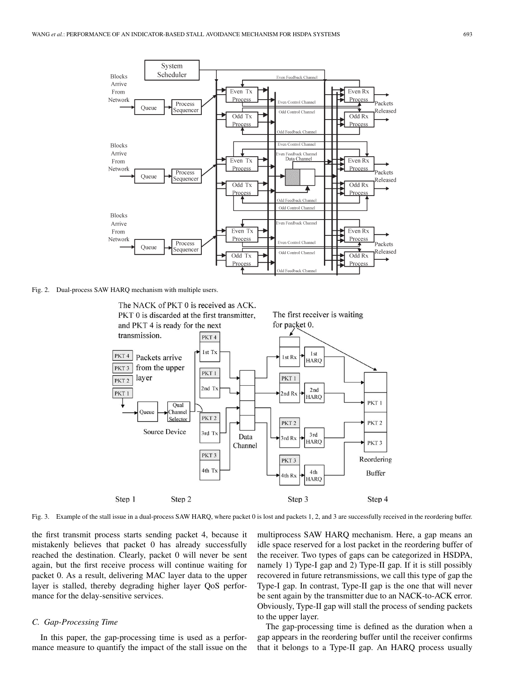

Fig. 2. Dual-process SAW HARQ mechanism with multiple users.



Fig. 3. Example of the stall issue in a dual-process SAW HARQ, where packet 0 is lost and packets 1, 2, and 3 are successfully received in the reordering buffer.

the first transmit process starts sending packet 4, because it mistakenly believes that packet 0 has already successfully reached the destination. Clearly, packet 0 will never be sent again, but the first receive process will continue waiting for packet 0. As a result, delivering MAC layer data to the upper layer is stalled, thereby degrading higher layer QoS performance for the delay-sensitive services.

## *C. Gap-Processing Time*

In this paper, the gap-processing time is used as a performance measure to quantify the impact of the stall issue on the

multiprocess SAW HARQ mechanism. Here, a gap means an idle space reserved for a lost packet in the reordering buffer of the receiver. Two types of gaps can be categorized in HSDPA, namely 1) Type-I gap and 2) Type-II gap. If it is still possibly recovered in future retransmissions, we call this type of gap the Type-I gap. In contrast, Type-II gap is the one that will never be sent again by the transmitter due to an NACK-to-ACK error. Obviously, Type-II gap will stall the process of sending packets to the upper layer.

The gap-processing time is defined as the duration when a gap appears in the reordering buffer until the receiver confirms that it belongs to a Type-II gap. An HARQ process usually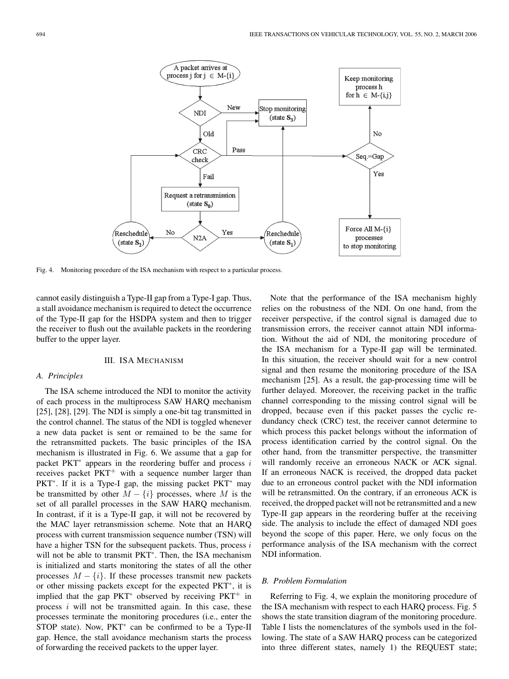

Fig. 4. Monitoring procedure of the ISA mechanism with respect to a particular process.

cannot easily distinguish a Type-II gap from a Type-I gap. Thus, a stall avoidance mechanism is required to detect the occurrence of the Type-II gap for the HSDPA system and then to trigger the receiver to flush out the available packets in the reordering buffer to the upper layer.

### III. ISA MECHANISM

## *A. Principles*

The ISA scheme introduced the NDI to monitor the activity of each process in the multiprocess SAW HARQ mechanism [25], [28], [29]. The NDI is simply a one-bit tag transmitted in the control channel. The status of the NDI is toggled whenever a new data packet is sent or remained to be the same for the retransmitted packets. The basic principles of the ISA mechanism is illustrated in Fig. 6. We assume that a gap for packet PKT<sup>∗</sup> appears in the reordering buffer and process *i* receives packet PKT<sup>+</sup> with a sequence number larger than PKT<sup>∗</sup>. If it is a Type-I gap, the missing packet PKT<sup>∗</sup> may be transmitted by other  $M - \{i\}$  processes, where M is the set of all parallel processes in the SAW HARQ mechanism. In contrast, if it is a Type-II gap, it will not be recovered by the MAC layer retransmission scheme. Note that an HARQ process with current transmission sequence number (TSN) will have a higher TSN for the subsequent packets. Thus, process *i* will not be able to transmit PKT<sup>∗</sup>. Then, the ISA mechanism is initialized and starts monitoring the states of all the other processes  $M - \{i\}$ . If these processes transmit new packets or other missing packets except for the expected PKT<sup>∗</sup>, it is implied that the gap PKT<sup>∗</sup> observed by receiving PKT<sup>+</sup> in process *i* will not be transmitted again. In this case, these processes terminate the monitoring procedures (i.e., enter the STOP state). Now, PKT<sup>\*</sup> can be confirmed to be a Type-II gap. Hence, the stall avoidance mechanism starts the process of forwarding the received packets to the upper layer.

Note that the performance of the ISA mechanism highly relies on the robustness of the NDI. On one hand, from the receiver perspective, if the control signal is damaged due to transmission errors, the receiver cannot attain NDI information. Without the aid of NDI, the monitoring procedure of the ISA mechanism for a Type-II gap will be terminated. In this situation, the receiver should wait for a new control signal and then resume the monitoring procedure of the ISA mechanism [25]. As a result, the gap-processing time will be further delayed. Moreover, the receiving packet in the traffic channel corresponding to the missing control signal will be dropped, because even if this packet passes the cyclic redundancy check (CRC) test, the receiver cannot determine to which process this packet belongs without the information of process identification carried by the control signal. On the other hand, from the transmitter perspective, the transmitter will randomly receive an erroneous NACK or ACK signal. If an erroneous NACK is received, the dropped data packet due to an erroneous control packet with the NDI information will be retransmitted. On the contrary, if an erroneous ACK is received, the dropped packet will not be retransmitted and a new Type-II gap appears in the reordering buffer at the receiving side. The analysis to include the effect of damaged NDI goes beyond the scope of this paper. Here, we only focus on the performance analysis of the ISA mechanism with the correct NDI information.

#### *B. Problem Formulation*

Referring to Fig. 4, we explain the monitoring procedure of the ISA mechanism with respect to each HARQ process. Fig. 5 shows the state transition diagram of the monitoring procedure. Table I lists the nomenclatures of the symbols used in the following. The state of a SAW HARQ process can be categorized into three different states, namely 1) the REQUEST state;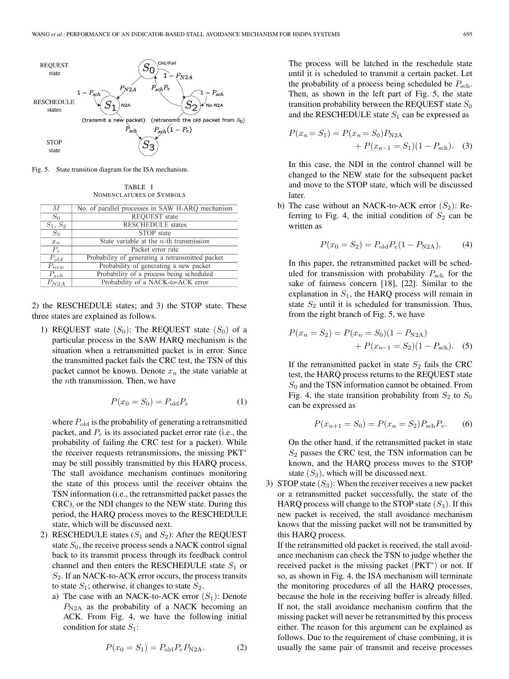

Fig. 5. State transition diagram for the ISA mechanism.

| TABLE I                  |  |
|--------------------------|--|
| NOMENCLATURES OF SYMBOLS |  |

| M          | No. of parallel processes in SAW H-ARQ mechanism |
|------------|--------------------------------------------------|
| $S_0$      | REQUEST state                                    |
| $S_1, S_2$ | <b>RESCHEDULE</b> states                         |
| $S_3$      | STOP state                                       |
| $x_n$      | State variable at the $n$ -th transmission       |
| $P_e$      | Packet error rate                                |
| $P_{old}$  | Probability of generating a retransmitted packet |
| $P_{new}$  | Probability of generating a new packet           |
| $P_{sch}$  | Probability of a process being scheduled         |
| $P_{N2A}$  | Probability of a NACK-to-ACK error               |

2) the RESCHEDULE states; and 3) the STOP state. These three states are explained as follows.

1) REQUEST state  $(S_0)$ : The REQUEST state  $(S_0)$  of a particular process in the SAW HARQ mechanism is the situation when a retransmitted packet is in error. Since the transmitted packet fails the CRC test, the TSN of this packet cannot be known. Denote  $x_n$  the state variable at the *n*th transmission. Then, we have

$$
P(x_0 = S_0) = P_{\text{old}} P_e \tag{1}
$$

where  $P_{old}$  is the probability of generating a retransmitted packet, and  $P_e$  is its associated packet error rate (i.e., the probability of failing the CRC test for a packet). While the receiver requests retransmissions, the missing PKT<sup>∗</sup> may be still possibly transmitted by this HARQ process. The stall avoidance mechanism continues monitoring the state of this process until the receiver obtains the TSN information (i.e., the retransmitted packet passes the CRC), or the NDI changes to the NEW state. During this period, the HARQ process moves to the RESCHEDULE state, which will be discussed next.

- 2) RESCHEDULE states  $(S_1 \text{ and } S_2)$ : After the REQUEST state  $S_0$ , the receive process sends a NACK control signal back to its transmit process through its feedback control channel and then enters the RESCHEDULE state  $S_1$  or *S*2. If an NACK-to-ACK error occurs, the process transits to state  $S_1$ ; otherwise, it changes to state  $S_2$ .
	- a) The case with an NACK-to-ACK error (*S*1): Denote *P*N2A as the probability of a NACK becoming an ACK. From Fig. 4, we have the following initial condition for state *S*1:

$$
P(x_0 = S_1) = P_{\text{old}} P_e P_{\text{N2A}}.
$$
 (2)

The process will be latched in the reschedule state until it is scheduled to transmit a certain packet. Let the probability of a process being scheduled be  $P_{\text{sch}}$ . Then, as shown in the left part of Fig. 5, the state transition probability between the REQUEST state  $S_0$ and the RESCHEDULE state  $S_1$  can be expressed as

$$
P(x_n = S_1) = P(x_n = S_0)P_{N2A}
$$
  
+  $P(x_{n-1} = S_1)(1 - P_{\text{sch}}).$  (3)

In this case, the NDI in the control channel will be changed to the NEW state for the subsequent packet and move to the STOP state, which will be discussed later.

b) The case without an NACK-to-ACK error  $(S_2)$ : Referring to Fig. 4, the initial condition of  $S_2$  can be written as

$$
P(x_0 = S_2) = P_{old} P_e (1 - P_{N2A}).
$$
 (4)

In this paper, the retransmitted packet will be scheduled for transmission with probability  $P_{\text{sch}}$  for the sake of fairness concern [18], [22]. Similar to the explanation in  $S_1$ , the HARQ process will remain in state  $S_2$  until it is scheduled for transmission. Thus, from the right branch of Fig. 5, we have

$$
P(x_n = S_2) = P(x_n = S_0)(1 - P_{N2A})
$$
  
+ 
$$
P(x_{n-1} = S_2)(1 - P_{\text{sch}}).
$$
 (5)

If the retransmitted packet in state *S*<sup>2</sup> fails the CRC test, the HARQ process returns to the REQUEST state *S*<sup>0</sup> and the TSN information cannot be obtained. From Fig. 4, the state transition probability from  $S_2$  to  $S_0$ can be expressed as

$$
P(x_{n+1} = S_0) = P(x_n = S_2) P_{\text{sch}} P_e.
$$
 (6)

On the other hand, if the retransmitted packet in state *S*<sup>2</sup> passes the CRC test, the TSN information can be known, and the HARQ process moves to the STOP state  $(S_3)$ , which will be discussed next.

3) STOP state  $(S_3)$ : When the receiver receives a new packet or a retransmitted packet successfully, the state of the HARQ process will change to the STOP state (*S*3). If this new packet is received, the stall avoidance mechanism knows that the missing packet will not be transmitted by this HARQ process.

If the retransmitted old packet is received, the stall avoidance mechanism can check the TSN to judge whether the received packet is the missing packet (PKT<sup>∗</sup>) or not. If so, as shown in Fig. 4, the ISA mechanism will terminate the monitoring procedures of all the HARQ processes, because the hole in the receiving buffer is already filled. If not, the stall avoidance mechanism confirm that the missing packet will never be retransmitted by this process either. The reason for this argument can be explained as follows. Due to the requirement of chase combining, it is usually the same pair of transmit and receive processes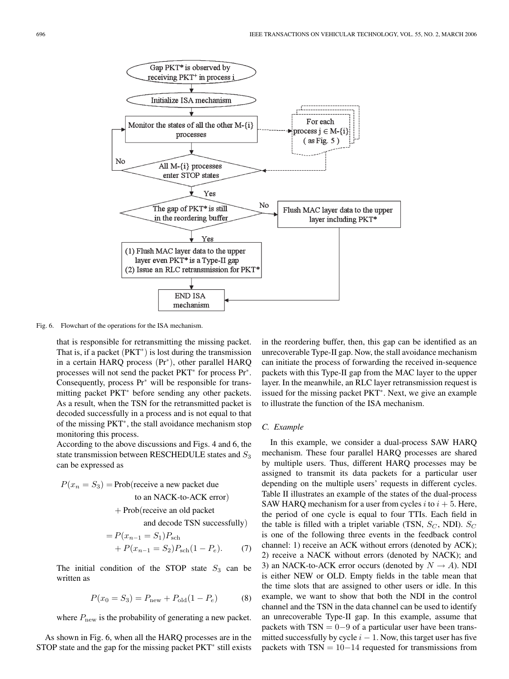

Fig. 6. Flowchart of the operations for the ISA mechanism.

that is responsible for retransmitting the missing packet. That is, if a packet  $(PKT^*)$  is lost during the transmission in a certain HARQ process (Pr<sup>∗</sup>), other parallel HARQ processes will not send the packet PKT<sup>∗</sup> for process Pr<sup>∗</sup>. Consequently, process Pr<sup>∗</sup> will be responsible for transmitting packet PKT<sup>∗</sup> before sending any other packets. As a result, when the TSN for the retransmitted packet is decoded successfully in a process and is not equal to that of the missing PKT<sup>∗</sup>, the stall avoidance mechanism stop monitoring this process.

According to the above discussions and Figs. 4 and 6, the state transmission between RESCHEDULE states and *S*<sup>3</sup> can be expressed as

$$
P(x_n = S_3) = \text{Prob}(\text{receive a new packet due to an NACK-to-ACK error})
$$

$$
+ \text{Prob}(\text{receive an old packet and decode TSN successfully})
$$

$$
= P(x_{n-1} = S_1)P_{\text{sch}}
$$
  
+ P(x\_{n-1} = S\_2)P\_{\text{sch}}(1 - P\_e). (7)

The initial condition of the STOP state  $S_3$  can be written as

$$
P(x_0 = S_3) = P_{\text{new}} + P_{\text{old}}(1 - P_e)
$$
 (8)

where  $P_{\text{new}}$  is the probability of generating a new packet.

As shown in Fig. 6, when all the HARQ processes are in the STOP state and the gap for the missing packet PKT<sup>\*</sup> still exists in the reordering buffer, then, this gap can be identified as an unrecoverable Type-II gap. Now, the stall avoidance mechanism can initiate the process of forwarding the received in-sequence packets with this Type-II gap from the MAC layer to the upper layer. In the meanwhile, an RLC layer retransmission request is issued for the missing packet PKT<sup>∗</sup>. Next, we give an example to illustrate the function of the ISA mechanism.

#### *C. Example*

In this example, we consider a dual-process SAW HARQ mechanism. These four parallel HARQ processes are shared by multiple users. Thus, different HARQ processes may be assigned to transmit its data packets for a particular user depending on the multiple users' requests in different cycles. Table II illustrates an example of the states of the dual-process SAW HARQ mechanism for a user from cycles  $i$  to  $i + 5$ . Here, the period of one cycle is equal to four TTIs. Each field in the table is filled with a triplet variable (TSN,  $S_C$ , NDI).  $S_C$ is one of the following three events in the feedback control channel: 1) receive an ACK without errors (denoted by ACK); 2) receive a NACK without errors (denoted by NACK); and 3) an NACK-to-ACK error occurs (denoted by  $N \rightarrow A$ ). NDI is either NEW or OLD. Empty fields in the table mean that the time slots that are assigned to other users or idle. In this example, we want to show that both the NDI in the control channel and the TSN in the data channel can be used to identify an unrecoverable Type-II gap. In this example, assume that packets with  $TSN = 0-9$  of a particular user have been transmitted successfully by cycle  $i - 1$ . Now, this target user has five packets with  $TSN = 10-14$  requested for transmissions from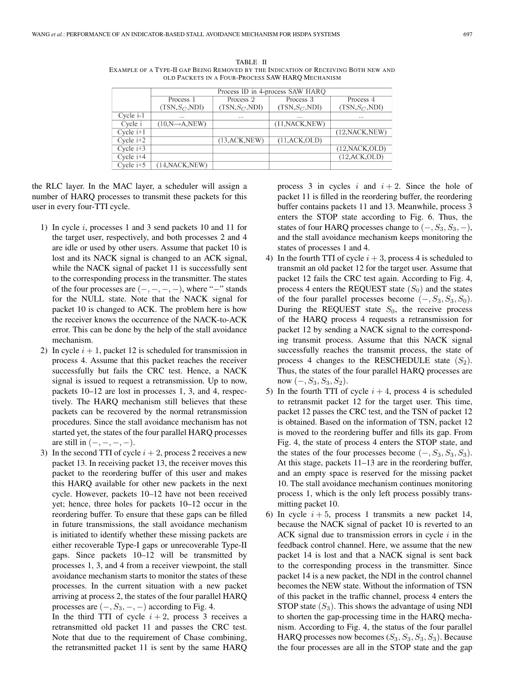|             | Process ID in 4-process SAW HARQ |                      |                   |                   |  |  |
|-------------|----------------------------------|----------------------|-------------------|-------------------|--|--|
|             | Process 1                        | Process <sub>2</sub> | Process 3         | Process 4         |  |  |
|             | $(TSN, S_C, NDI)$                | $(TSN, S_C, NDI)$    | $(TSN, S_C, NDI)$ | $(TSN, S_C, NDI)$ |  |  |
| Cycle i-1   | $\cdots$                         | $\cdots$             | $\cdots$          | $\cdots$          |  |  |
| Cycle i     | $(10,N\rightarrow A,NEW)$        |                      | (11, NACK, NEW)   |                   |  |  |
| Cycle $i+1$ |                                  |                      |                   | (12, NACK, NEW)   |  |  |
| Cycle $i+2$ |                                  | (13, ACK, NEW)       | (11, ACK,OLD)     |                   |  |  |
| Cycle $i+3$ |                                  |                      |                   | (12, NACK, OLD)   |  |  |
| Cycle $i+4$ |                                  |                      |                   | (12, ACK,OLD)     |  |  |
| Cycle $i+5$ | (14, NACK, NEW)                  |                      |                   |                   |  |  |

TABLE II EXAMPLE OF A TYPE-II GAP BEING REMOVED BY THE INDICATION OF RECEIVING BOTH NEW AND OLD PACKETS IN A FOUR-PROCESS SAW HARQ MECHANISM

the RLC layer. In the MAC layer, a scheduler will assign a number of HARQ processes to transmit these packets for this user in every four-TTI cycle.

- 1) In cycle *i*, processes 1 and 3 send packets 10 and 11 for the target user, respectively, and both processes 2 and 4 are idle or used by other users. Assume that packet 10 is lost and its NACK signal is changed to an ACK signal, while the NACK signal of packet 11 is successfully sent to the corresponding process in the transmitter. The states of the four processes are  $(-, -, -, -)$ , where "−" stands for the NULL state. Note that the NACK signal for packet 10 is changed to ACK. The problem here is how the receiver knows the occurrence of the NACK-to-ACK error. This can be done by the help of the stall avoidance mechanism.
- 2) In cycle  $i + 1$ , packet 12 is scheduled for transmission in process 4. Assume that this packet reaches the receiver successfully but fails the CRC test. Hence, a NACK signal is issued to request a retransmission. Up to now, packets 10–12 are lost in processes 1, 3, and 4, respectively. The HARQ mechanism still believes that these packets can be recovered by the normal retransmission procedures. Since the stall avoidance mechanism has not started yet, the states of the four parallel HARQ processes are still in (−*,* −*,* −*,* −).
- 3) In the second TTI of cycle  $i + 2$ , process 2 receives a new packet 13. In receiving packet 13, the receiver moves this packet to the reordering buffer of this user and makes this HARQ available for other new packets in the next cycle. However, packets 10–12 have not been received yet; hence, three holes for packets 10–12 occur in the reordering buffer. To ensure that these gaps can be filled in future transmissions, the stall avoidance mechanism is initiated to identify whether these missing packets are either recoverable Type-I gaps or unrecoverable Type-II gaps. Since packets 10–12 will be transmitted by processes 1, 3, and 4 from a receiver viewpoint, the stall avoidance mechanism starts to monitor the states of these processes. In the current situation with a new packet arriving at process 2, the states of the four parallel HARQ processes are  $(-, S_3, -, -)$  according to Fig. 4.

In the third TTI of cycle  $i + 2$ , process 3 receives a retransmitted old packet 11 and passes the CRC test. Note that due to the requirement of Chase combining, the retransmitted packet 11 is sent by the same HARQ process 3 in cycles  $i$  and  $i + 2$ . Since the hole of packet 11 is filled in the reordering buffer, the reordering buffer contains packets 11 and 13. Meanwhile, process 3 enters the STOP state according to Fig. 6. Thus, the states of four HARQ processes change to  $(-, S_3, S_3, -)$ , and the stall avoidance mechanism keeps monitoring the states of processes 1 and 4.

- 4) In the fourth TTI of cycle  $i + 3$ , process 4 is scheduled to transmit an old packet 12 for the target user. Assume that packet 12 fails the CRC test again. According to Fig. 4, process 4 enters the REQUEST state  $(S_0)$  and the states of the four parallel processes become  $(-, S_3, S_3, S_0)$ . During the REQUEST state  $S_0$ , the receive process of the HARQ process 4 requests a retransmission for packet 12 by sending a NACK signal to the corresponding transmit process. Assume that this NACK signal successfully reaches the transmit process, the state of process 4 changes to the RESCHEDULE state  $(S_2)$ . Thus, the states of the four parallel HARQ processes are now  $(-, S_3, S_3, S_2)$ .
- 5) In the fourth TTI of cycle  $i + 4$ , process 4 is scheduled to retransmit packet 12 for the target user. This time, packet 12 passes the CRC test, and the TSN of packet 12 is obtained. Based on the information of TSN, packet 12 is moved to the reordering buffer and fills its gap. From Fig. 4, the state of process 4 enters the STOP state, and the states of the four processes become  $(-, S_3, S_3, S_3)$ . At this stage, packets 11–13 are in the reordering buffer, and an empty space is reserved for the missing packet 10. The stall avoidance mechanism continues monitoring process 1, which is the only left process possibly transmitting packet 10.
- 6) In cycle  $i + 5$ , process 1 transmits a new packet 14, because the NACK signal of packet 10 is reverted to an ACK signal due to transmission errors in cycle *i* in the feedback control channel. Here, we assume that the new packet 14 is lost and that a NACK signal is sent back to the corresponding process in the transmitter. Since packet 14 is a new packet, the NDI in the control channel becomes the NEW state. Without the information of TSN of this packet in the traffic channel, process 4 enters the STOP state  $(S_3)$ . This shows the advantage of using NDI to shorten the gap-processing time in the HARQ mechanism. According to Fig. 4, the status of the four parallel HARQ processes now becomes  $(S_3, S_3, S_3, S_3)$ . Because the four processes are all in the STOP state and the gap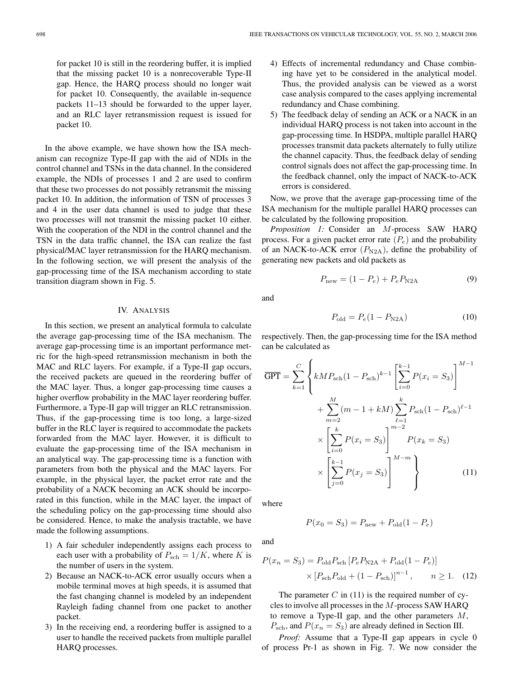for packet 10 is still in the reordering buffer, it is implied that the missing packet 10 is a nonrecoverable Type-II gap. Hence, the HARQ process should no longer wait for packet 10. Consequently, the available in-sequence packets 11–13 should be forwarded to the upper layer, and an RLC layer retransmission request is issued for packet 10.

In the above example, we have shown how the ISA mechanism can recognize Type-II gap with the aid of NDIs in the control channel and TSNs in the data channel. In the considered example, the NDIs of processes 1 and 2 are used to confirm that these two processes do not possibly retransmit the missing packet 10. In addition, the information of TSN of processes 3 and 4 in the user data channel is used to judge that these two processes will not transmit the missing packet 10 either. With the cooperation of the NDI in the control channel and the TSN in the data traffic channel, the ISA can realize the fast physical/MAC layer retransmission for the HARQ mechanism. In the following section, we will present the analysis of the gap-processing time of the ISA mechanism according to state transition diagram shown in Fig. 5.

## IV. ANALYSIS

In this section, we present an analytical formula to calculate the average gap-processing time of the ISA mechanism. The average gap-processing time is an important performance metric for the high-speed retransmission mechanism in both the MAC and RLC layers. For example, if a Type-II gap occurs, the received packets are queued in the reordering buffer of the MAC layer. Thus, a longer gap-processing time causes a higher overflow probability in the MAC layer reordering buffer. Furthermore, a Type-II gap will trigger an RLC retransmission. Thus, if the gap-processing time is too long, a large-sized buffer in the RLC layer is required to accommodate the packets forwarded from the MAC layer. However, it is difficult to evaluate the gap-processing time of the ISA mechanism in an analytical way. The gap-processing time is a function with parameters from both the physical and the MAC layers. For example, in the physical layer, the packet error rate and the probability of a NACK becoming an ACK should be incorporated in this function, while in the MAC layer, the impact of the scheduling policy on the gap-processing time should also be considered. Hence, to make the analysis tractable, we have made the following assumptions.

- 1) A fair scheduler independently assigns each process to each user with a probability of  $P_{\text{sch}} = 1/K$ , where *K* is the number of users in the system.
- 2) Because an NACK-to-ACK error usually occurs when a mobile terminal moves at high speeds, it is assumed that the fast changing channel is modeled by an independent Rayleigh fading channel from one packet to another packet.
- 3) In the receiving end, a reordering buffer is assigned to a user to handle the received packets from multiple parallel HARQ processes.
- 4) Effects of incremental redundancy and Chase combining have yet to be considered in the analytical model. Thus, the provided analysis can be viewed as a worst case analysis compared to the cases applying incremental redundancy and Chase combining.
- 5) The feedback delay of sending an ACK or a NACK in an individual HARQ process is not taken into account in the gap-processing time. In HSDPA, multiple parallel HARQ processes transmit data packets alternately to fully utilize the channel capacity. Thus, the feedback delay of sending control signals does not affect the gap-processing time. In the feedback channel, only the impact of NACK-to-ACK errors is considered.

Now, we prove that the average gap-processing time of the ISA mechanism for the multiple parallel HARQ processes can be calculated by the following proposition.

*Proposition 1:* Consider an *M*-process SAW HARQ process. For a given packet error rate  $(P_e)$  and the probability of an NACK-to-ACK error  $(P_{N2A})$ , define the probability of generating new packets and old packets as

$$
P_{\text{new}} = (1 - P_e) + P_e P_{\text{N2A}} \tag{9}
$$

and

$$
P_{\text{old}} = P_e (1 - P_{\text{N2A}}) \tag{10}
$$

respectively. Then, the gap-processing time for the ISA method can be calculated as

$$
\overline{\text{GPT}} = \sum_{k=1}^{C} \left\{ kMP_{\text{sch}} (1 - P_{\text{sch}})^{k-1} \left[ \sum_{i=0}^{k-1} P(x_i = S_3) \right]^{M-1} + \sum_{m=2}^{M} (m - 1 + kM) \sum_{\ell=1}^{k} P_{\text{sch}} (1 - P_{\text{sch}})^{\ell-1} \times \left[ \sum_{i=0}^{k} P(x_i = S_3) \right]^{m-2} P(x_k = S_3) \right\}
$$

$$
\times \left[ \sum_{j=0}^{k-1} P(x_j = S_3) \right]^{M-m} \right\}
$$
(11)

where

$$
P(x_0 = S_3) = P_{\text{new}} + P_{\text{old}}(1 - P_e)
$$

and

$$
P(x_n = S_3) = P_{\text{old}} P_{\text{sch}} [P_e P_{\text{N2A}} + P_{\text{old}} (1 - P_e)]
$$
  
 
$$
\times [P_{\text{sch}} P_{\text{old}} + (1 - P_{\text{sch}})]^{n-1}, \qquad n \ge 1. \quad (12)
$$

The parameter  $C$  in (11) is the required number of cycles to involve all processes in the *M*-process SAW HARQ to remove a Type-II gap, and the other parameters *M*,  $P_{\text{sch}}$ , and  $P(x_n = S_3)$  are already defined in Section III.

*Proof:* Assume that a Type-II gap appears in cycle 0 of process Pr-1 as shown in Fig. 7. We now consider the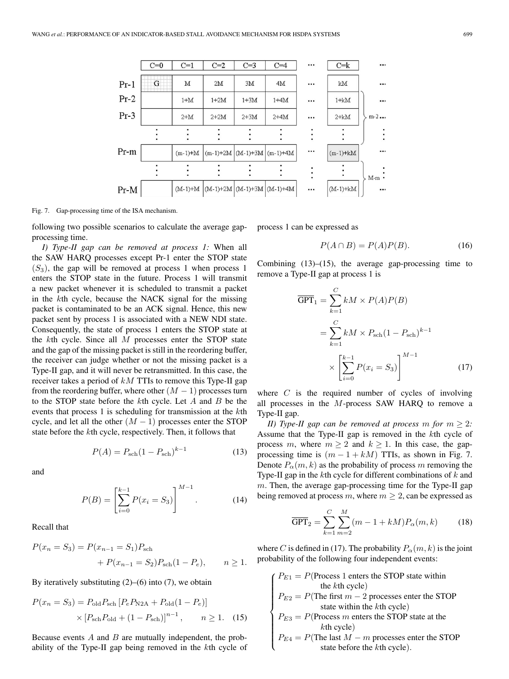

Fig. 7. Gap-processing time of the ISA mechanism.

following two possible scenarios to calculate the average gapprocessing time.

*I) Type-II gap can be removed at process 1:* When all the SAW HARQ processes except Pr-1 enter the STOP state  $(S_3)$ , the gap will be removed at process 1 when process 1 enters the STOP state in the future. Process 1 will transmit a new packet whenever it is scheduled to transmit a packet in the *k*th cycle, because the NACK signal for the missing packet is contaminated to be an ACK signal. Hence, this new packet sent by process 1 is associated with a NEW NDI state. Consequently, the state of process 1 enters the STOP state at the *k*th cycle. Since all *M* processes enter the STOP state and the gap of the missing packet is still in the reordering buffer, the receiver can judge whether or not the missing packet is a Type-II gap, and it will never be retransmitted. In this case, the receiver takes a period of *kM* TTIs to remove this Type-II gap from the reordering buffer, where other  $(M - 1)$  processes turn to the STOP state before the *k*th cycle. Let *A* and *B* be the events that process 1 is scheduling for transmission at the *k*th cycle, and let all the other  $(M - 1)$  processes enter the STOP state before the *k*th cycle, respectively. Then, it follows that

$$
P(A) = P_{\text{sch}}(1 - P_{\text{sch}})^{k-1}
$$
 (13)

and

$$
P(B) = \left[\sum_{i=0}^{k-1} P(x_i = S_3)\right]^{M-1}.
$$
 (14)

Recall that

$$
P(x_n = S_3) = P(x_{n-1} = S_1)P_{\text{sch}}
$$
  
+ 
$$
P(x_{n-1} = S_2)P_{\text{sch}}(1 - P_e), \qquad n \ge 1.
$$

By iteratively substituting  $(2)$ – $(6)$  into  $(7)$ , we obtain

$$
P(x_n = S_3) = P_{\text{old}} P_{\text{sch}} [P_e P_{\text{N2A}} + P_{\text{old}} (1 - P_e)]
$$
  
×  $[P_{\text{sch}} P_{\text{old}} + (1 - P_{\text{sch}})]^{n-1}$ , n ≥ 1. (15)

Because events *A* and *B* are mutually independent, the probability of the Type-II gap being removed in the *k*th cycle of process 1 can be expressed as

$$
P(A \cap B) = P(A)P(B). \tag{16}
$$

Combining  $(13)$ – $(15)$ , the average gap-processing time to remove a Type-II gap at process 1 is

$$
\overline{\text{GPT}}_1 = \sum_{k=1}^{C} kM \times P(A)P(B)
$$

$$
= \sum_{k=1}^{C} kM \times P_{\text{sch}} (1 - P_{\text{sch}})^{k-1}
$$

$$
\times \left[ \sum_{i=0}^{k-1} P(x_i = S_3) \right]^{M-1} \tag{17}
$$

where *C* is the required number of cycles of involving all processes in the *M*-process SAW HARQ to remove a Type-II gap.

*II)* Type-II gap can be removed at process m for  $m \geq 2$ : Assume that the Type-II gap is removed in the *k*th cycle of process *m*, where  $m \geq 2$  and  $k \geq 1$ . In this case, the gapprocessing time is  $(m - 1 + kM)$  TTIs, as shown in Fig. 7. Denote  $P_{\alpha}(m, k)$  as the probability of process m removing the Type-II gap in the *k*th cycle for different combinations of *k* and *m*. Then, the average gap-processing time for the Type-II gap being removed at process  $m$ , where  $m \geq 2$ , can be expressed as

$$
\overline{\text{GPT}}_2 = \sum_{k=1}^{C} \sum_{m=2}^{M} (m - 1 + kM) P_{\alpha}(m, k) \tag{18}
$$

where *C* is defined in (17). The probability  $P_{\alpha}(m, k)$  is the joint probability of the following four independent events:

 $\sqrt{ }$  $\begin{matrix} \phantom{-} \end{matrix}$  $P_{E3} = P(\text{Process } m \text{ enters the STOP state at the } k\text{th cycle})$ <br>  $P_{E4} = P(\text{The last } M - m \text{ processes enter the S})$ <br>
state before the *k*th cycle).  $P_{E1} = P$ (Process 1 enters the STOP state within the *k*th cycle)  $P_{E2} = P$ (The first  $m - 2$  processes enter the STOP state within the *k*th cycle) *k*th cycle)

$$
P_{E4} = P(\text{The last } M - m \text{ processes enter the STOP state before the } k\text{th cycle}).
$$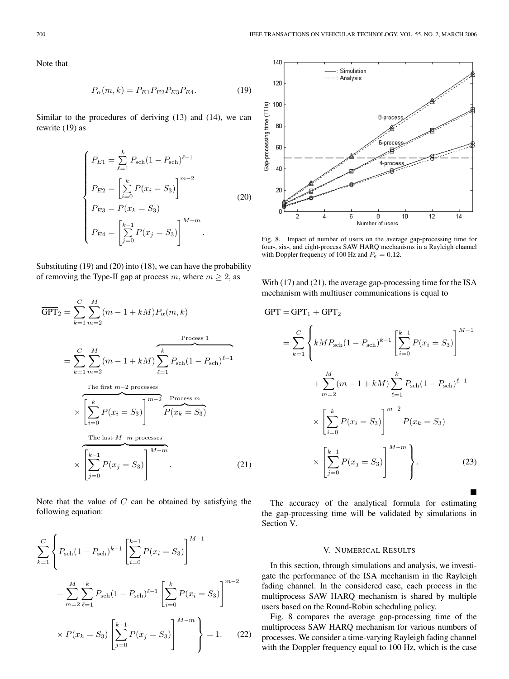Note that

$$
P_{\alpha}(m,k) = P_{E1} P_{E2} P_{E3} P_{E4}.
$$
 (19)

Similar to the procedures of deriving (13) and (14), we can rewrite (19) as

$$
\begin{cases}\nP_{E1} = \sum_{\ell=1}^{k} P_{\text{sch}} (1 - P_{\text{sch}})^{\ell - 1} \\
P_{E2} = \left[ \sum_{i=0}^{k} P(x_i = S_3) \right]^{m-2} \\
P_{E3} = P(x_k = S_3) \\
P_{E4} = \left[ \sum_{j=0}^{k-1} P(x_j = S_3) \right]^{M-m}.\n\end{cases} \tag{20}
$$

Substituting (19) and (20) into (18), we can have the probability of removing the Type-II gap at process  $m$ , where  $m \geq 2$ , as

$$
\overline{GPT}_{2} = \sum_{k=1}^{C} \sum_{m=2}^{M} (m - 1 + kM) P_{\alpha}(m, k)
$$
  
\n
$$
= \sum_{k=1}^{C} \sum_{m=2}^{M} (m - 1 + kM) \sum_{\ell=1}^{k} P_{\text{sch}} (1 - P_{\text{sch}})^{\ell-1}
$$
  
\nThe first  $m-2$  processes  
\n
$$
\times \left[ \sum_{i=0}^{k} P(x_{i} = S_{3}) \right]^{m-2} \underbrace{P \text{rocess} \, m}_{P(x_{k} = S_{3})}
$$
  
\nThe last  $M-m$  processes  
\n
$$
\times \left[ \sum_{j=0}^{k-1} P(x_{j} = S_{3}) \right]^{M-m}
$$
 (21)

Note that the value of *C* can be obtained by satisfying the following equation:

$$
\sum_{k=1}^{C} \left\{ P_{\text{sch}} (1 - P_{\text{sch}})^{k-1} \left[ \sum_{i=0}^{k-1} P(x_i = S_3) \right]^{M-1} + \sum_{m=2}^{M} \sum_{\ell=1}^{k} P_{\text{sch}} (1 - P_{\text{sch}})^{\ell-1} \left[ \sum_{i=0}^{k} P(x_i = S_3) \right]^{m-2} \times P(x_k = S_3) \left[ \sum_{j=0}^{k-1} P(x_j = S_3) \right]^{M-m} \right\} = 1. \tag{22}
$$



Fig. 8. Impact of number of users on the average gap-processing time for four-, six-, and eight-process SAW HARQ mechanisms in a Rayleigh channel with Doppler frequency of 100 Hz and *P<sup>e</sup>* = 0*.*12.

With (17) and (21), the average gap-processing time for the ISA mechanism with multiuser communications is equal to

$$
\overline{GPT} = \overline{GPT}_1 + \overline{GPT}_2
$$
  
=  $\sum_{k=1}^{C} \left\{ kMP_{\text{sch}} (1 - P_{\text{sch}})^{k-1} \left[ \sum_{i=0}^{k-1} P(x_i = S_3) \right]^{M-1} + \sum_{m=2}^{M} (m - 1 + kM) \sum_{\ell=1}^{k} P_{\text{sch}} (1 - P_{\text{sch}})^{\ell-1} \right\}$   
 $\times \left[ \sum_{i=0}^{k} P(x_i = S_3) \right]^{m-2} P(x_k = S_3)$   
 $\times \left[ \sum_{j=0}^{k-1} P(x_j = S_3) \right]^{M-m} \left\}.$  (23)

The accuracy of the analytical formula for estimating the gap-processing time will be validated by simulations in Section V.

 $\blacksquare$ 

#### V. NUMERICAL RESULTS

In this section, through simulations and analysis, we investigate the performance of the ISA mechanism in the Rayleigh fading channel. In the considered case, each process in the multiprocess SAW HARQ mechanism is shared by multiple users based on the Round-Robin scheduling policy.

Fig. 8 compares the average gap-processing time of the multiprocess SAW HARQ mechanism for various numbers of processes. We consider a time-varying Rayleigh fading channel with the Doppler frequency equal to 100 Hz, which is the case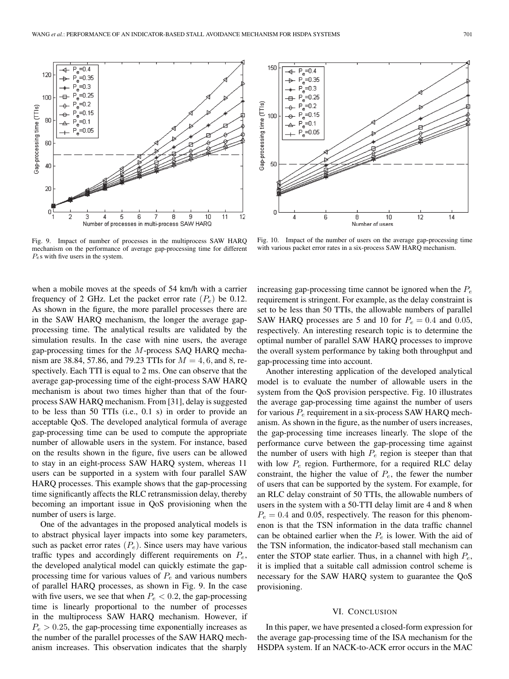

Fig. 9. Impact of number of processes in the multiprocess SAW HARQ mechanism on the performance of average gap-processing time for different *Pe*s with five users in the system.

when a mobile moves at the speeds of 54 km/h with a carrier frequency of 2 GHz. Let the packet error rate  $(P_e)$  be 0.12. As shown in the figure, the more parallel processes there are in the SAW HARQ mechanism, the longer the average gapprocessing time. The analytical results are validated by the simulation results. In the case with nine users, the average gap-processing times for the *M*-process SAQ HARQ mechanism are 38.84, 57.86, and 79.23 TTIs for *M* = 4*,* 6*,* and 8, respectively. Each TTI is equal to 2 ms. One can observe that the average gap-processing time of the eight-process SAW HARQ mechanism is about two times higher than that of the fourprocess SAW HARQ mechanism. From [31], delay is suggested to be less than 50 TTIs (i.e., 0.1 s) in order to provide an acceptable QoS. The developed analytical formula of average gap-processing time can be used to compute the appropriate number of allowable users in the system. For instance, based on the results shown in the figure, five users can be allowed to stay in an eight-process SAW HARQ system, whereas 11 users can be supported in a system with four parallel SAW HARQ processes. This example shows that the gap-processing time significantly affects the RLC retransmission delay, thereby becoming an important issue in QoS provisioning when the number of users is large.

One of the advantages in the proposed analytical models is to abstract physical layer impacts into some key parameters, such as packet error rates  $(P_e)$ . Since users may have various traffic types and accordingly different requirements on *P*e, the developed analytical model can quickly estimate the gapprocessing time for various values of  $P_e$  and various numbers of parallel HARQ processes, as shown in Fig. 9. In the case with five users, we see that when  $P_e < 0.2$ , the gap-processing time is linearly proportional to the number of processes in the multiprocess SAW HARQ mechanism. However, if  $P_e$  > 0.25, the gap-processing time exponentially increases as the number of the parallel processes of the SAW HARQ mechanism increases. This observation indicates that the sharply



Fig. 10. Impact of the number of users on the average gap-processing time with various packet error rates in a six-process SAW HARQ mechanism.

increasing gap-processing time cannot be ignored when the  $P_e$ requirement is stringent. For example, as the delay constraint is set to be less than 50 TTIs, the allowable numbers of parallel SAW HARQ processes are 5 and 10 for  $P_e = 0.4$  and 0.05, respectively. An interesting research topic is to determine the optimal number of parallel SAW HARQ processes to improve the overall system performance by taking both throughput and gap-processing time into account.

Another interesting application of the developed analytical model is to evaluate the number of allowable users in the system from the QoS provision perspective. Fig. 10 illustrates the average gap-processing time against the number of users for various  $P_e$  requirement in a six-process SAW HARQ mechanism. As shown in the figure, as the number of users increases, the gap-processing time increases linearly. The slope of the performance curve between the gap-processing time against the number of users with high  $P_e$  region is steeper than that with low  $P_e$  region. Furthermore, for a required RLC delay constraint, the higher the value of  $P_e$ , the fewer the number of users that can be supported by the system. For example, for an RLC delay constraint of 50 TTIs, the allowable numbers of users in the system with a 50-TTI delay limit are 4 and 8 when  $P_e = 0.4$  and 0.05, respectively. The reason for this phenomenon is that the TSN information in the data traffic channel can be obtained earlier when the  $P_e$  is lower. With the aid of the TSN information, the indicator-based stall mechanism can enter the STOP state earlier. Thus, in a channel with high  $P_e$ , it is implied that a suitable call admission control scheme is necessary for the SAW HARQ system to guarantee the QoS provisioning.

#### VI. CONCLUSION

In this paper, we have presented a closed-form expression for the average gap-processing time of the ISA mechanism for the HSDPA system. If an NACK-to-ACK error occurs in the MAC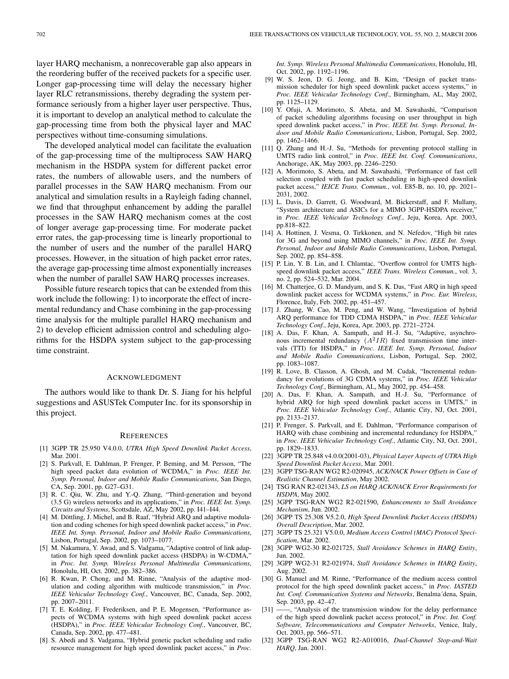layer HARQ mechanism, a nonrecoverable gap also appears in the reordering buffer of the received packets for a specific user. Longer gap-processing time will delay the necessary higher layer RLC retransmissions, thereby degrading the system performance seriously from a higher layer user perspective. Thus, it is important to develop an analytical method to calculate the gap-processing time from both the physical layer and MAC perspectives without time-consuming simulations.

The developed analytical model can facilitate the evaluation of the gap-processing time of the multiprocess SAW HARQ mechanism in the HSDPA system for different packet error rates, the numbers of allowable users, and the numbers of parallel processes in the SAW HARQ mechanism. From our analytical and simulation results in a Rayleigh fading channel, we find that throughput enhancement by adding the parallel processes in the SAW HARQ mechanism comes at the cost of longer average gap-processing time. For moderate packet error rates, the gap-processing time is linearly proportional to the number of users and the number of the parallel HARQ processes. However, in the situation of high packet error rates, the average gap-processing time almost exponentially increases when the number of parallel SAW HARQ processes increases.

Possible future research topics that can be extended from this work include the following: 1) to incorporate the effect of incremental redundancy and Chase combining in the gap-processing time analysis for the multiple parallel HARQ mechanism and 2) to develop efficient admission control and scheduling algorithms for the HSDPA system subject to the gap-processing time constraint.

#### ACKNOWLEDGMENT

The authors would like to thank Dr. S. Jiang for his helpful suggestions and ASUSTek Computer Inc. for its sponsorship in this project.

#### **REFERENCES**

- [1] 3GPP TR 25.950 V4.0.0, *UTRA High Speed Downlink Packet Access*, Mar. 2001.
- [2] S. Parkvall, E. Dahlman, P. Frenger, P. Beming, and M. Persson, "The high speed packet data evolution of WCDMA," in *Proc. IEEE Int. Symp. Personal, Indoor and Mobile Radio Communications*, San Diego, CA, Sep. 2001, pp. G27–G31.
- [3] R. C. Qiu, W. Zhu, and Y.-Q. Zhang, "Third-generation and beyond (3.5 G) wireless networks and its applications," in *Proc. IEEE Int. Symp. Circuits and Systems*, Scottsdale, AZ, May 2002, pp. I41–I44.
- [4] M. Döttling, J. Michel, and B. Raaf, "Hybrid ARQ and adaptive modulation and coding schemes for high speed downlink packet access," in *Proc. IEEE Int. Symp. Personal, Indoor and Mobile Radio Communications*, Lisbon, Portugal, Sep. 2002, pp. 1073–1077.
- [5] M. Nakamura, Y. Awad, and S. Vadgama, "Adaptive control of link adaptation for high speed downlink packet access (HSDPA) in W-CDMA," in *Proc. Int. Symp. Wireless Personal Multimedia Communications*, Honolulu, HI, Oct. 2002, pp. 382–386.
- [6] R. Kwan, P. Chong, and M. Rinne, "Analysis of the adaptive modulation and coding algorithm with multicode transmission," in *Proc. IEEE Vehicular Technology Conf.*, Vancouver, BC, Canada, Sep. 2002, pp. 2007–2011.
- [7] T. E. Kolding, F. Frederiksen, and P. E. Mogensen, "Performance aspects of WCDMA systems with high speed downlink packet access (HSDPA)," in *Proc. IEEE Vehicular Technology Conf.*, Vancouver, BC, Canada, Sep. 2002, pp. 477–481.
- [8] S. Abedi and S. Vadgama, "Hybrid genetic packet scheduling and radio resource management for high speed downlink packet access," in *Proc.*

*Int. Symp. Wireless Personal Multimedia Communications*, Honolulu, HI, Oct. 2002, pp. 1192–1196.

- [9] W. S. Jeon, D. G. Jeong, and B. Kim, "Design of packet transmission scheduler for high speed downlink packet access systems," in *Proc. IEEE Vehicular Technology Conf.*, Birmingham, AL, May 2002, pp. 1125–1129.
- [10] Y. Ofuji, A. Morimoto, S. Abeta, and M. Sawahashi, "Comparison of packet scheduling algorithms focusing on user throughput in high speed downlink packet access," in *Proc. IEEE Int. Symp. Personal, Indoor and Mobile Radio Communications*, Lisbon, Portugal, Sep. 2002, pp. 1462–1466.
- [11] Q. Zhang and H.-J. Su, "Methods for preventing protocol stalling in UMTS radio link control," in *Proc. IEEE Int. Conf. Communications*, Anchorage, AK, May 2003, pp. 2246–2250.
- [12] A. Morimoto, S. Abeta, and M. Sawahashi, "Performance of fast cell selection coupled with fast packet scheduling in high-speed downlink packet access," *IEICE Trans. Commun.*, vol. E85-B, no. 10, pp. 2021– 2031, 2002.
- [13] L. Davis, D. Garrett, G. Woodward, M. Bickerstaff, and F. Mullany, "System architecture and ASICs for a MIMO 3GPP-HSDPA receiver," in *Proc. IEEE Vehicular Technology Conf.*, Jeju, Korea, Apr. 2003, pp.818–822.
- [14] A. Hottinen, J. Vesma, O. Tirkkonen, and N. Nefedov, "High bit rates for 3G and beyond using MIMO channels," in *Proc. IEEE Int. Symp. Personal, Indoor and Mobile Radio Communications*, Lisbon, Portugal, Sep. 2002, pp. 854–858.
- [15] P. Lin, Y. B. Lin, and I. Chlamtac, "Overflow control for UMTS highspeed downlink packet access," *IEEE Trans. Wireless Commun.*, vol. 3, no. 2, pp. 524–532, Mar. 2004.
- [16] M. Chatterjee, G. D. Mandyam, and S. K. Das, "Fast ARQ in high speed downlink packet access for WCDMA systems," in *Proc. Eur. Wireless*, Florence, Italy, Feb. 2002, pp. 451–457.
- [17] J. Zhang, W. Cao, M. Peng, and W. Wang, "Investigation of hybrid ARQ performance for TDD CDMA HSDPA," in *Proc. IEEE Vehicular Technology Conf.*, Jeju, Korea, Apr. 2003, pp. 2721–2724.
- [18] A. Das, F. Khan, A. Sampath, and H.-J. Su, "Adaptive, asynchronous incremental redundancy (*A*2*IR*) fixed transmission time intervals (TTI) for HSDPA," in *Proc. IEEE Int. Symp. Personal, Indoor and Mobile Radio Communications*, Lisbon, Portugal, Sep. 2002, pp. 1083–1087.
- [19] R. Love, B. Classon, A. Ghosh, and M. Cudak, "Incremental redundancy for evolutions of 3G CDMA systems," in *Proc. IEEE Vehicular Technology Conf.*, Birmingham, AL, May 2002, pp. 454–458.
- [20] A. Das, F. Khan, A. Sampath, and H.-J. Su, "Performance of hybrid ARQ for high speed downlink packet access in UMTS," in *Proc. IEEE Vehicular Technology Conf.*, Atlantic City, NJ, Oct. 2001, pp. 2133–2137.
- [21] P. Frenger, S. Parkvall, and E. Dahlman, "Performance comparison of HARQ with chase combining and incremental redundancy for HSDPA," in *Proc. IEEE Vehicular Technology Conf.*, Atlantic City, NJ, Oct. 2001, pp. 1829–1833.
- [22] 3GPP TR 25.848 v4.0.0(2001-03), *Physical Layer Aspects of UTRA High Speed Downlink Packet Access*, Mar. 2001.
- [23] 3GPP TSG-RAN WG2 R2-020945, *ACK/NACK Power Offsets in Case of Realistic Channel Estimation*, May 2002.
- [24] TSG RAN R2-021343, *LS on HARQ ACK/NACK Error Requirements for HSDPA*, May 2002.
- [25] 3GPP TSG-RAN WG2 R2-021590, *Enhancements to Stall Avoidance Mechanism*, Jun. 2002.
- [26] 3GPP TS 25.308 V5.2.0, *High Speed Downlink Packet Access (HSDPA) Overall Description*, Mar. 2002.
- [27] 3GPP TS 25.321 V5.0.0, *Medium Access Control (MAC) Protocol Specification*, Mar. 2002.
- [28] 3GPP WG2-30 R2-021725, *Stall Avoidance Schemes in HARQ Entity*, Jun. 2002.
- [29] 3GPP WG2-31 R2-021974, *Stall Avoidance Schemes in HARQ Entity*, Aug. 2002.
- [30] G. Manuel and M. Rinne, "Performance of the medium access control protocol for the high speed downlink packet access," in *Proc. IASTED Int. Conf. Communication Systems and Networks*, Benalma´dena, Spain, Sep. 2003, pp. 42–47.
- [31] ——, "Analysis of the transmission window for the delay performance of the high speed downlink packet access protocol," in *Proc. Int. Conf. Software, Telecommunications and Computer Networks*, Venice, Italy, Oct. 2003, pp. 566–571.
- [32] 3GPP TSG-RAN WG2 R2-A010016, *Dual-Channel Stop-and-Wait HARQ*, Jan. 2001.